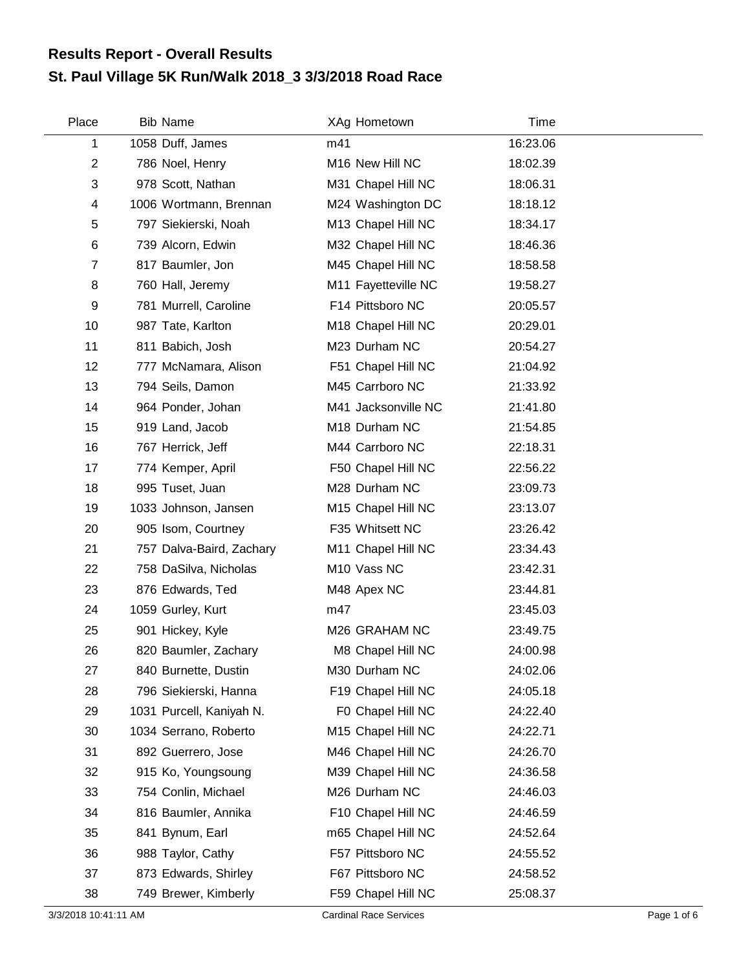## **St. Paul Village 5K Run/Walk 2018\_3 3/3/2018 Road Race Results Report - Overall Results**

| Place          | <b>Bib Name</b>          | XAg Hometown        | Time     |  |
|----------------|--------------------------|---------------------|----------|--|
| 1              | 1058 Duff, James         | m41                 | 16:23.06 |  |
| $\overline{c}$ | 786 Noel, Henry          | M16 New Hill NC     | 18:02.39 |  |
| 3              | 978 Scott, Nathan        | M31 Chapel Hill NC  | 18:06.31 |  |
| 4              | 1006 Wortmann, Brennan   | M24 Washington DC   | 18:18.12 |  |
| 5              | 797 Siekierski, Noah     | M13 Chapel Hill NC  | 18:34.17 |  |
| 6              | 739 Alcorn, Edwin        | M32 Chapel Hill NC  | 18:46.36 |  |
| $\overline{7}$ | 817 Baumler, Jon         | M45 Chapel Hill NC  | 18:58.58 |  |
| 8              | 760 Hall, Jeremy         | M11 Fayetteville NC | 19:58.27 |  |
| 9              | 781 Murrell, Caroline    | F14 Pittsboro NC    | 20:05.57 |  |
| 10             | 987 Tate, Karlton        | M18 Chapel Hill NC  | 20:29.01 |  |
| 11             | 811 Babich, Josh         | M23 Durham NC       | 20:54.27 |  |
| 12             | 777 McNamara, Alison     | F51 Chapel Hill NC  | 21:04.92 |  |
| 13             | 794 Seils, Damon         | M45 Carrboro NC     | 21:33.92 |  |
| 14             | 964 Ponder, Johan        | M41 Jacksonville NC | 21:41.80 |  |
| 15             | 919 Land, Jacob          | M18 Durham NC       | 21:54.85 |  |
| 16             | 767 Herrick, Jeff        | M44 Carrboro NC     | 22:18.31 |  |
| 17             | 774 Kemper, April        | F50 Chapel Hill NC  | 22:56.22 |  |
| 18             | 995 Tuset, Juan          | M28 Durham NC       | 23:09.73 |  |
| 19             | 1033 Johnson, Jansen     | M15 Chapel Hill NC  | 23:13.07 |  |
| 20             | 905 Isom, Courtney       | F35 Whitsett NC     | 23:26.42 |  |
| 21             | 757 Dalva-Baird, Zachary | M11 Chapel Hill NC  | 23:34.43 |  |
| 22             | 758 DaSilva, Nicholas    | M10 Vass NC         | 23:42.31 |  |
| 23             | 876 Edwards, Ted         | M48 Apex NC         | 23:44.81 |  |
| 24             | 1059 Gurley, Kurt        | m47                 | 23:45.03 |  |
| 25             | 901 Hickey, Kyle         | M26 GRAHAM NC       | 23:49.75 |  |
| 26             | 820 Baumler, Zachary     | M8 Chapel Hill NC   | 24:00.98 |  |
| 27             | 840 Burnette, Dustin     | M30 Durham NC       | 24:02.06 |  |
| 28             | 796 Siekierski, Hanna    | F19 Chapel Hill NC  | 24:05.18 |  |
| 29             | 1031 Purcell, Kaniyah N. | F0 Chapel Hill NC   | 24:22.40 |  |
| 30             | 1034 Serrano, Roberto    | M15 Chapel Hill NC  | 24:22.71 |  |
| 31             | 892 Guerrero, Jose       | M46 Chapel Hill NC  | 24:26.70 |  |
| 32             | 915 Ko, Youngsoung       | M39 Chapel Hill NC  | 24:36.58 |  |
| 33             | 754 Conlin, Michael      | M26 Durham NC       | 24:46.03 |  |
| 34             | 816 Baumler, Annika      | F10 Chapel Hill NC  | 24:46.59 |  |
| 35             | 841 Bynum, Earl          | m65 Chapel Hill NC  | 24:52.64 |  |
| 36             | 988 Taylor, Cathy        | F57 Pittsboro NC    | 24:55.52 |  |
| 37             | 873 Edwards, Shirley     | F67 Pittsboro NC    | 24:58.52 |  |
| 38             | 749 Brewer, Kimberly     | F59 Chapel Hill NC  | 25:08.37 |  |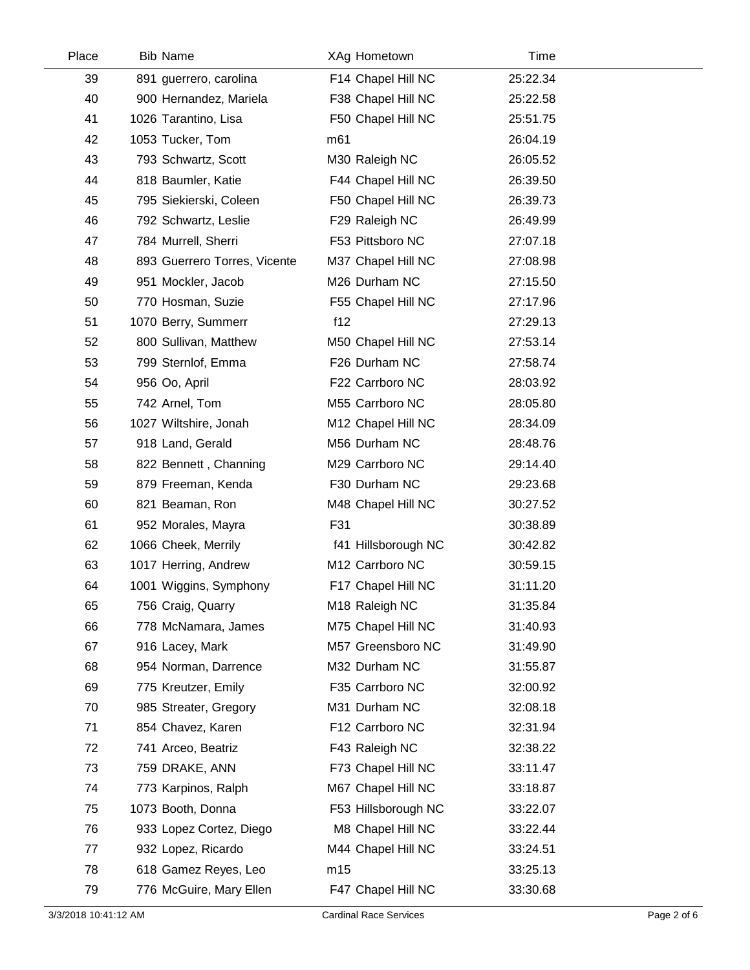| Place | <b>Bib Name</b>              | XAg Hometown        | Time     |  |
|-------|------------------------------|---------------------|----------|--|
| 39    | 891 guerrero, carolina       | F14 Chapel Hill NC  | 25:22.34 |  |
| 40    | 900 Hernandez, Mariela       | F38 Chapel Hill NC  | 25:22.58 |  |
| 41    | 1026 Tarantino, Lisa         | F50 Chapel Hill NC  | 25:51.75 |  |
| 42    | 1053 Tucker, Tom             | m <sub>61</sub>     | 26:04.19 |  |
| 43    | 793 Schwartz, Scott          | M30 Raleigh NC      | 26:05.52 |  |
| 44    | 818 Baumler, Katie           | F44 Chapel Hill NC  | 26:39.50 |  |
| 45    | 795 Siekierski, Coleen       | F50 Chapel Hill NC  | 26:39.73 |  |
| 46    | 792 Schwartz, Leslie         | F29 Raleigh NC      | 26:49.99 |  |
| 47    | 784 Murrell, Sherri          | F53 Pittsboro NC    | 27:07.18 |  |
| 48    | 893 Guerrero Torres, Vicente | M37 Chapel Hill NC  | 27:08.98 |  |
| 49    | 951 Mockler, Jacob           | M26 Durham NC       | 27:15.50 |  |
| 50    | 770 Hosman, Suzie            | F55 Chapel Hill NC  | 27:17.96 |  |
| 51    | 1070 Berry, Summerr          | f12                 | 27:29.13 |  |
| 52    | 800 Sullivan, Matthew        | M50 Chapel Hill NC  | 27:53.14 |  |
| 53    | 799 Sternlof, Emma           | F26 Durham NC       | 27:58.74 |  |
| 54    | 956 Oo, April                | F22 Carrboro NC     | 28:03.92 |  |
| 55    | 742 Arnel, Tom               | M55 Carrboro NC     | 28:05.80 |  |
| 56    | 1027 Wiltshire, Jonah        | M12 Chapel Hill NC  | 28:34.09 |  |
| 57    | 918 Land, Gerald             | M56 Durham NC       | 28:48.76 |  |
| 58    | 822 Bennett, Channing        | M29 Carrboro NC     | 29:14.40 |  |
| 59    | 879 Freeman, Kenda           | F30 Durham NC       | 29:23.68 |  |
| 60    | 821 Beaman, Ron              | M48 Chapel Hill NC  | 30:27.52 |  |
| 61    | 952 Morales, Mayra           | F31                 | 30:38.89 |  |
| 62    | 1066 Cheek, Merrily          | f41 Hillsborough NC | 30:42.82 |  |
| 63    | 1017 Herring, Andrew         | M12 Carrboro NC     | 30:59.15 |  |
| 64    | 1001 Wiggins, Symphony       | F17 Chapel Hill NC  | 31:11.20 |  |
| 65    | 756 Craig, Quarry            | M18 Raleigh NC      | 31:35.84 |  |
| 66    | 778 McNamara, James          | M75 Chapel Hill NC  | 31:40.93 |  |
| 67    | 916 Lacey, Mark              | M57 Greensboro NC   | 31:49.90 |  |
| 68    | 954 Norman, Darrence         | M32 Durham NC       | 31:55.87 |  |
| 69    | 775 Kreutzer, Emily          | F35 Carrboro NC     | 32:00.92 |  |
| 70    | 985 Streater, Gregory        | M31 Durham NC       | 32:08.18 |  |
| 71    | 854 Chavez, Karen            | F12 Carrboro NC     | 32:31.94 |  |
| 72    | 741 Arceo, Beatriz           | F43 Raleigh NC      | 32:38.22 |  |
| 73    | 759 DRAKE, ANN               | F73 Chapel Hill NC  | 33:11.47 |  |
| 74    | 773 Karpinos, Ralph          | M67 Chapel Hill NC  | 33:18.87 |  |
| 75    | 1073 Booth, Donna            | F53 Hillsborough NC | 33:22.07 |  |
| 76    | 933 Lopez Cortez, Diego      | M8 Chapel Hill NC   | 33:22.44 |  |
| 77    | 932 Lopez, Ricardo           | M44 Chapel Hill NC  | 33:24.51 |  |
| 78    | 618 Gamez Reyes, Leo         | m15                 | 33:25.13 |  |
| 79    | 776 McGuire, Mary Ellen      | F47 Chapel Hill NC  | 33:30.68 |  |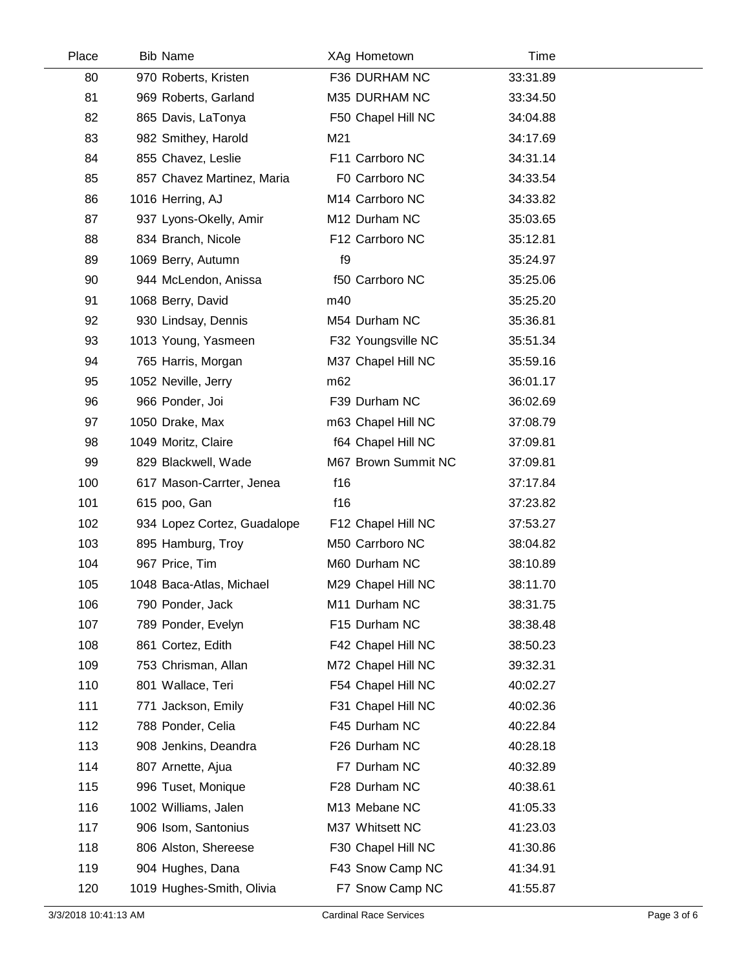| Place | <b>Bib Name</b>             | XAg Hometown        | Time     |  |
|-------|-----------------------------|---------------------|----------|--|
| 80    | 970 Roberts, Kristen        | F36 DURHAM NC       | 33:31.89 |  |
| 81    | 969 Roberts, Garland        | M35 DURHAM NC       | 33:34.50 |  |
| 82    | 865 Davis, LaTonya          | F50 Chapel Hill NC  | 34:04.88 |  |
| 83    | 982 Smithey, Harold         | M21                 | 34:17.69 |  |
| 84    | 855 Chavez, Leslie          | F11 Carrboro NC     | 34:31.14 |  |
| 85    | 857 Chavez Martinez, Maria  | F0 Carrboro NC      | 34:33.54 |  |
| 86    | 1016 Herring, AJ            | M14 Carrboro NC     | 34:33.82 |  |
| 87    | 937 Lyons-Okelly, Amir      | M12 Durham NC       | 35:03.65 |  |
| 88    | 834 Branch, Nicole          | F12 Carrboro NC     | 35:12.81 |  |
| 89    | 1069 Berry, Autumn          | f9                  | 35:24.97 |  |
| 90    | 944 McLendon, Anissa        | f50 Carrboro NC     | 35:25.06 |  |
| 91    | 1068 Berry, David           | m40                 | 35:25.20 |  |
| 92    | 930 Lindsay, Dennis         | M54 Durham NC       | 35:36.81 |  |
| 93    | 1013 Young, Yasmeen         | F32 Youngsville NC  | 35:51.34 |  |
| 94    | 765 Harris, Morgan          | M37 Chapel Hill NC  | 35:59.16 |  |
| 95    | 1052 Neville, Jerry         | m <sub>62</sub>     | 36:01.17 |  |
| 96    | 966 Ponder, Joi             | F39 Durham NC       | 36:02.69 |  |
| 97    | 1050 Drake, Max             | m63 Chapel Hill NC  | 37:08.79 |  |
| 98    | 1049 Moritz, Claire         | f64 Chapel Hill NC  | 37:09.81 |  |
| 99    | 829 Blackwell, Wade         | M67 Brown Summit NC | 37:09.81 |  |
| 100   | 617 Mason-Carrter, Jenea    | f16                 | 37:17.84 |  |
| 101   | 615 poo, Gan                | f16                 | 37:23.82 |  |
| 102   | 934 Lopez Cortez, Guadalope | F12 Chapel Hill NC  | 37:53.27 |  |
| 103   | 895 Hamburg, Troy           | M50 Carrboro NC     | 38:04.82 |  |
| 104   | 967 Price, Tim              | M60 Durham NC       | 38:10.89 |  |
| 105   | 1048 Baca-Atlas, Michael    | M29 Chapel Hill NC  | 38:11.70 |  |
| 106   | 790 Ponder, Jack            | M11 Durham NC       | 38:31.75 |  |
| 107   | 789 Ponder, Evelyn          | F15 Durham NC       | 38:38.48 |  |
| 108   | 861 Cortez, Edith           | F42 Chapel Hill NC  | 38:50.23 |  |
| 109   | 753 Chrisman, Allan         | M72 Chapel Hill NC  | 39:32.31 |  |
| 110   | 801 Wallace, Teri           | F54 Chapel Hill NC  | 40:02.27 |  |
| 111   | 771 Jackson, Emily          | F31 Chapel Hill NC  | 40:02.36 |  |
| 112   | 788 Ponder, Celia           | F45 Durham NC       | 40:22.84 |  |
| 113   | 908 Jenkins, Deandra        | F26 Durham NC       | 40:28.18 |  |
| 114   | 807 Arnette, Ajua           | F7 Durham NC        | 40:32.89 |  |
| 115   | 996 Tuset, Monique          | F28 Durham NC       | 40:38.61 |  |
| 116   | 1002 Williams, Jalen        | M13 Mebane NC       | 41:05.33 |  |
| 117   | 906 Isom, Santonius         | M37 Whitsett NC     | 41:23.03 |  |
| 118   | 806 Alston, Shereese        | F30 Chapel Hill NC  | 41:30.86 |  |
| 119   | 904 Hughes, Dana            | F43 Snow Camp NC    | 41:34.91 |  |
| 120   | 1019 Hughes-Smith, Olivia   | F7 Snow Camp NC     | 41:55.87 |  |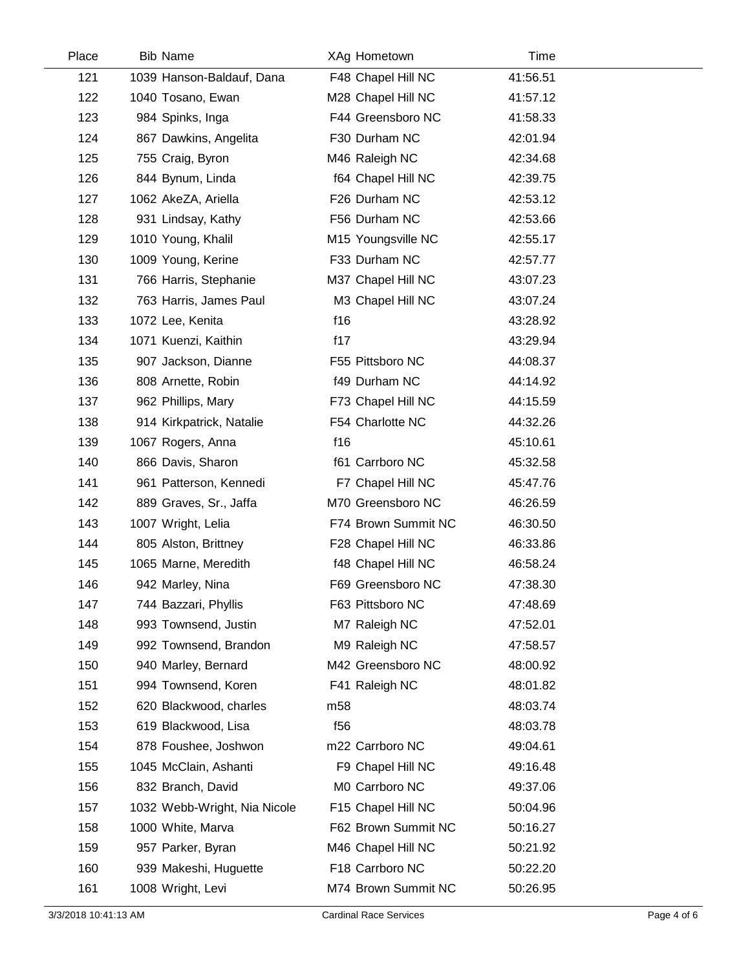| Place | <b>Bib Name</b>              | XAg Hometown        | Time     |
|-------|------------------------------|---------------------|----------|
| 121   | 1039 Hanson-Baldauf, Dana    | F48 Chapel Hill NC  | 41:56.51 |
| 122   | 1040 Tosano, Ewan            | M28 Chapel Hill NC  | 41:57.12 |
| 123   | 984 Spinks, Inga             | F44 Greensboro NC   | 41:58.33 |
| 124   | 867 Dawkins, Angelita        | F30 Durham NC       | 42:01.94 |
| 125   | 755 Craig, Byron             | M46 Raleigh NC      | 42:34.68 |
| 126   | 844 Bynum, Linda             | f64 Chapel Hill NC  | 42:39.75 |
| 127   | 1062 AkeZA, Ariella          | F26 Durham NC       | 42:53.12 |
| 128   | 931 Lindsay, Kathy           | F56 Durham NC       | 42:53.66 |
| 129   | 1010 Young, Khalil           | M15 Youngsville NC  | 42:55.17 |
| 130   | 1009 Young, Kerine           | F33 Durham NC       | 42:57.77 |
| 131   | 766 Harris, Stephanie        | M37 Chapel Hill NC  | 43:07.23 |
| 132   | 763 Harris, James Paul       | M3 Chapel Hill NC   | 43:07.24 |
| 133   | 1072 Lee, Kenita             | f16                 | 43:28.92 |
| 134   | 1071 Kuenzi, Kaithin         | f17                 | 43:29.94 |
| 135   | 907 Jackson, Dianne          | F55 Pittsboro NC    | 44:08.37 |
| 136   | 808 Arnette, Robin           | f49 Durham NC       | 44:14.92 |
| 137   | 962 Phillips, Mary           | F73 Chapel Hill NC  | 44:15.59 |
| 138   | 914 Kirkpatrick, Natalie     | F54 Charlotte NC    | 44:32.26 |
| 139   | 1067 Rogers, Anna            | f16                 | 45:10.61 |
| 140   | 866 Davis, Sharon            | f61 Carrboro NC     | 45:32.58 |
| 141   | 961 Patterson, Kennedi       | F7 Chapel Hill NC   | 45:47.76 |
| 142   | 889 Graves, Sr., Jaffa       | M70 Greensboro NC   | 46:26.59 |
| 143   | 1007 Wright, Lelia           | F74 Brown Summit NC | 46:30.50 |
| 144   | 805 Alston, Brittney         | F28 Chapel Hill NC  | 46:33.86 |
| 145   | 1065 Marne, Meredith         | f48 Chapel Hill NC  | 46:58.24 |
| 146   | 942 Marley, Nina             | F69 Greensboro NC   | 47:38.30 |
| 147   | 744 Bazzari, Phyllis         | F63 Pittsboro NC    | 47:48.69 |
| 148   | 993 Townsend, Justin         | M7 Raleigh NC       | 47:52.01 |
| 149   | 992 Townsend, Brandon        | M9 Raleigh NC       | 47:58.57 |
| 150   | 940 Marley, Bernard          | M42 Greensboro NC   | 48:00.92 |
| 151   | 994 Townsend, Koren          | F41 Raleigh NC      | 48:01.82 |
| 152   | 620 Blackwood, charles       | m <sub>58</sub>     | 48:03.74 |
| 153   | 619 Blackwood, Lisa          | f <sub>56</sub>     | 48:03.78 |
| 154   | 878 Foushee, Joshwon         | m22 Carrboro NC     | 49:04.61 |
| 155   | 1045 McClain, Ashanti        | F9 Chapel Hill NC   | 49:16.48 |
| 156   | 832 Branch, David            | M0 Carrboro NC      | 49:37.06 |
| 157   | 1032 Webb-Wright, Nia Nicole | F15 Chapel Hill NC  | 50:04.96 |
| 158   | 1000 White, Marva            | F62 Brown Summit NC | 50:16.27 |
| 159   | 957 Parker, Byran            | M46 Chapel Hill NC  | 50:21.92 |
| 160   | 939 Makeshi, Huguette        | F18 Carrboro NC     | 50:22.20 |
| 161   | 1008 Wright, Levi            | M74 Brown Summit NC | 50:26.95 |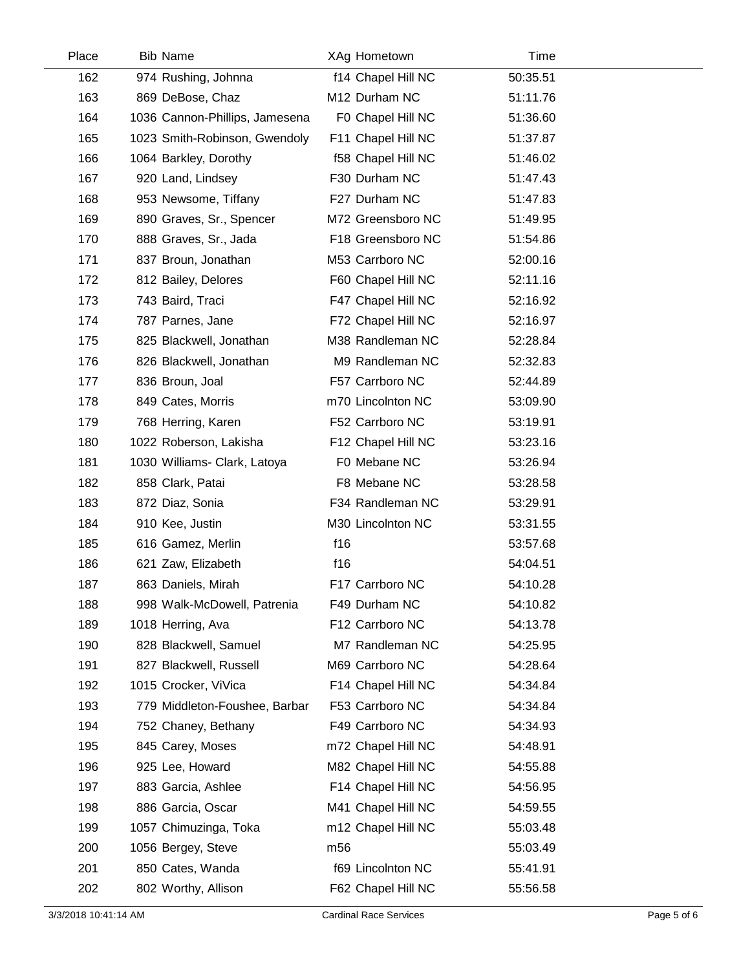| Place | <b>Bib Name</b>                | XAg Hometown       | Time     |  |
|-------|--------------------------------|--------------------|----------|--|
| 162   | 974 Rushing, Johnna            | f14 Chapel Hill NC | 50:35.51 |  |
| 163   | 869 DeBose, Chaz               | M12 Durham NC      | 51:11.76 |  |
| 164   | 1036 Cannon-Phillips, Jamesena | F0 Chapel Hill NC  | 51:36.60 |  |
| 165   | 1023 Smith-Robinson, Gwendoly  | F11 Chapel Hill NC | 51:37.87 |  |
| 166   | 1064 Barkley, Dorothy          | f58 Chapel Hill NC | 51:46.02 |  |
| 167   | 920 Land, Lindsey              | F30 Durham NC      | 51:47.43 |  |
| 168   | 953 Newsome, Tiffany           | F27 Durham NC      | 51:47.83 |  |
| 169   | 890 Graves, Sr., Spencer       | M72 Greensboro NC  | 51:49.95 |  |
| 170   | 888 Graves, Sr., Jada          | F18 Greensboro NC  | 51:54.86 |  |
| 171   | 837 Broun, Jonathan            | M53 Carrboro NC    | 52:00.16 |  |
| 172   | 812 Bailey, Delores            | F60 Chapel Hill NC | 52:11.16 |  |
| 173   | 743 Baird, Traci               | F47 Chapel Hill NC | 52:16.92 |  |
| 174   | 787 Parnes, Jane               | F72 Chapel Hill NC | 52:16.97 |  |
| 175   | 825 Blackwell, Jonathan        | M38 Randleman NC   | 52:28.84 |  |
| 176   | 826 Blackwell, Jonathan        | M9 Randleman NC    | 52:32.83 |  |
| 177   | 836 Broun, Joal                | F57 Carrboro NC    | 52:44.89 |  |
| 178   | 849 Cates, Morris              | m70 Lincolnton NC  | 53:09.90 |  |
| 179   | 768 Herring, Karen             | F52 Carrboro NC    | 53:19.91 |  |
| 180   | 1022 Roberson, Lakisha         | F12 Chapel Hill NC | 53:23.16 |  |
| 181   | 1030 Williams- Clark, Latoya   | F0 Mebane NC       | 53:26.94 |  |
| 182   | 858 Clark, Patai               | F8 Mebane NC       | 53:28.58 |  |
| 183   | 872 Diaz, Sonia                | F34 Randleman NC   | 53:29.91 |  |
| 184   | 910 Kee, Justin                | M30 Lincolnton NC  | 53:31.55 |  |
| 185   | 616 Gamez, Merlin              | f16                | 53:57.68 |  |
| 186   | 621 Zaw, Elizabeth             | f16                | 54:04.51 |  |
| 187   | 863 Daniels, Mirah             | F17 Carrboro NC    | 54:10.28 |  |
| 188   | 998 Walk-McDowell, Patrenia    | F49 Durham NC      | 54:10.82 |  |
| 189   | 1018 Herring, Ava              | F12 Carrboro NC    | 54:13.78 |  |
| 190   | 828 Blackwell, Samuel          | M7 Randleman NC    | 54:25.95 |  |
| 191   | 827 Blackwell, Russell         | M69 Carrboro NC    | 54:28.64 |  |
| 192   | 1015 Crocker, ViVica           | F14 Chapel Hill NC | 54:34.84 |  |
| 193   | 779 Middleton-Foushee, Barbar  | F53 Carrboro NC    | 54:34.84 |  |
| 194   | 752 Chaney, Bethany            | F49 Carrboro NC    | 54:34.93 |  |
| 195   | 845 Carey, Moses               | m72 Chapel Hill NC | 54:48.91 |  |
| 196   | 925 Lee, Howard                | M82 Chapel Hill NC | 54:55.88 |  |
| 197   | 883 Garcia, Ashlee             | F14 Chapel Hill NC | 54:56.95 |  |
| 198   | 886 Garcia, Oscar              | M41 Chapel Hill NC | 54:59.55 |  |
| 199   | 1057 Chimuzinga, Toka          | m12 Chapel Hill NC | 55:03.48 |  |
| 200   | 1056 Bergey, Steve             | m <sub>56</sub>    | 55:03.49 |  |
| 201   | 850 Cates, Wanda               | f69 Lincolnton NC  | 55:41.91 |  |
| 202   | 802 Worthy, Allison            | F62 Chapel Hill NC | 55:56.58 |  |